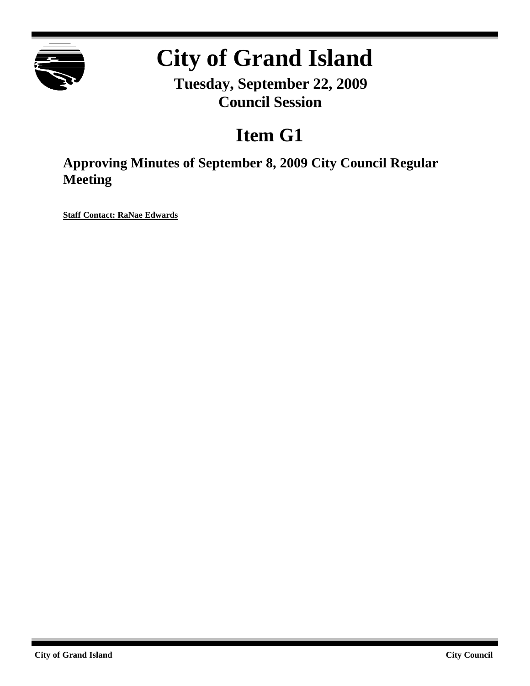

# **City of Grand Island**

**Tuesday, September 22, 2009 Council Session**

# **Item G1**

**Approving Minutes of September 8, 2009 City Council Regular Meeting**

**Staff Contact: RaNae Edwards**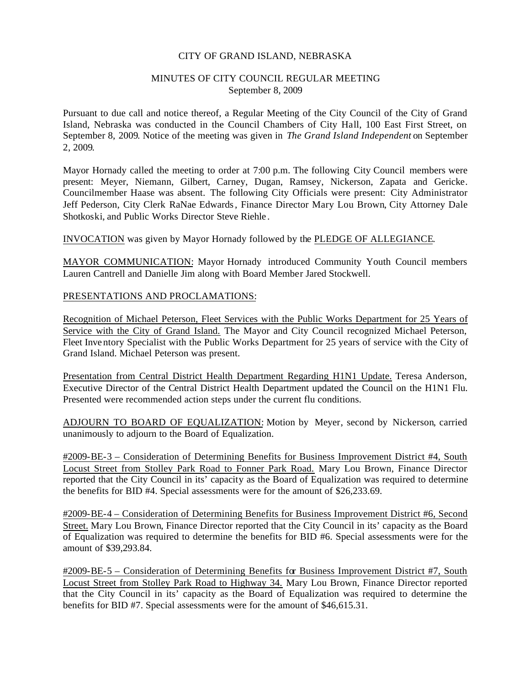#### CITY OF GRAND ISLAND, NEBRASKA

# MINUTES OF CITY COUNCIL REGULAR MEETING September 8, 2009

Pursuant to due call and notice thereof, a Regular Meeting of the City Council of the City of Grand Island, Nebraska was conducted in the Council Chambers of City Hall, 100 East First Street, on September 8, 2009. Notice of the meeting was given in *The Grand Island Independent* on September 2, 2009.

Mayor Hornady called the meeting to order at 7:00 p.m. The following City Council members were present: Meyer, Niemann, Gilbert, Carney, Dugan, Ramsey, Nickerson, Zapata and Gericke. Councilmember Haase was absent. The following City Officials were present: City Administrator Jeff Pederson, City Clerk RaNae Edwards, Finance Director Mary Lou Brown, City Attorney Dale Shotkoski, and Public Works Director Steve Riehle .

INVOCATION was given by Mayor Hornady followed by the PLEDGE OF ALLEGIANCE.

MAYOR COMMUNICATION: Mayor Hornady introduced Community Youth Council members Lauren Cantrell and Danielle Jim along with Board Member Jared Stockwell.

PRESENTATIONS AND PROCLAMATIONS:

Recognition of Michael Peterson, Fleet Services with the Public Works Department for 25 Years of Service with the City of Grand Island. The Mayor and City Council recognized Michael Peterson, Fleet Inve ntory Specialist with the Public Works Department for 25 years of service with the City of Grand Island. Michael Peterson was present.

Presentation from Central District Health Department Regarding H1N1 Update. Teresa Anderson, Executive Director of the Central District Health Department updated the Council on the H1N1 Flu. Presented were recommended action steps under the current flu conditions.

ADJOURN TO BOARD OF EQUALIZATION: Motion by Meyer, second by Nickerson, carried unanimously to adjourn to the Board of Equalization.

#2009-BE-3 – Consideration of Determining Benefits for Business Improvement District #4, South Locust Street from Stolley Park Road to Fonner Park Road. Mary Lou Brown, Finance Director reported that the City Council in its' capacity as the Board of Equalization was required to determine the benefits for BID #4. Special assessments were for the amount of \$26,233.69.

#2009-BE-4 – Consideration of Determining Benefits for Business Improvement District #6, Second Street. Mary Lou Brown, Finance Director reported that the City Council in its' capacity as the Board of Equalization was required to determine the benefits for BID #6. Special assessments were for the amount of \$39,293.84.

#2009-BE-5 – Consideration of Determining Benefits for Business Improvement District #7, South Locust Street from Stolley Park Road to Highway 34. Mary Lou Brown, Finance Director reported that the City Council in its' capacity as the Board of Equalization was required to determine the benefits for BID #7. Special assessments were for the amount of \$46,615.31.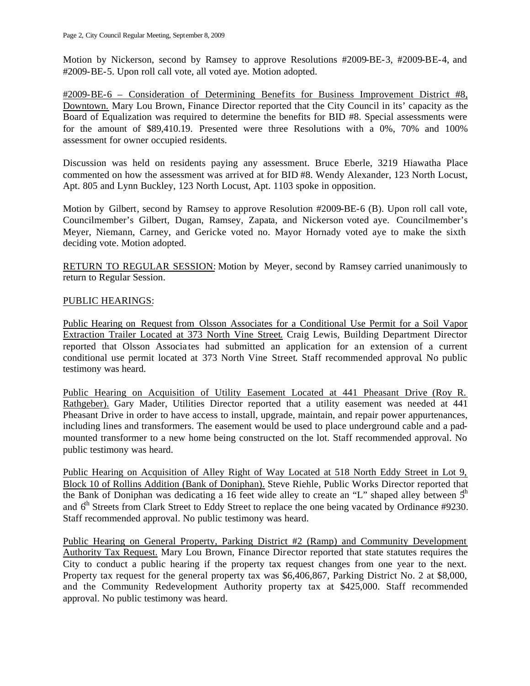Motion by Nickerson, second by Ramsey to approve Resolutions #2009-BE-3, #2009-BE-4, and #2009-BE-5. Upon roll call vote, all voted aye. Motion adopted.

#2009-BE-6 – Consideration of Determining Benefits for Business Improvement District #8, Downtown. Mary Lou Brown, Finance Director reported that the City Council in its' capacity as the Board of Equalization was required to determine the benefits for BID #8. Special assessments were for the amount of \$89,410.19. Presented were three Resolutions with a 0%, 70% and 100% assessment for owner occupied residents.

Discussion was held on residents paying any assessment. Bruce Eberle, 3219 Hiawatha Place commented on how the assessment was arrived at for BID #8. Wendy Alexander, 123 North Locust, Apt. 805 and Lynn Buckley, 123 North Locust, Apt. 1103 spoke in opposition.

Motion by Gilbert, second by Ramsey to approve Resolution #2009-BE-6 (B). Upon roll call vote, Councilmember's Gilbert, Dugan, Ramsey, Zapata, and Nickerson voted aye. Councilmember's Meyer, Niemann, Carney, and Gericke voted no. Mayor Hornady voted aye to make the sixth deciding vote. Motion adopted.

RETURN TO REGULAR SESSION: Motion by Meyer, second by Ramsey carried unanimously to return to Regular Session.

# PUBLIC HEARINGS:

Public Hearing on Request from Olsson Associates for a Conditional Use Permit for a Soil Vapor Extraction Trailer Located at 373 North Vine Street. Craig Lewis, Building Department Director reported that Olsson Associa tes had submitted an application for an extension of a current conditional use permit located at 373 North Vine Street. Staff recommended approval. No public testimony was heard.

Public Hearing on Acquisition of Utility Easement Located at 441 Pheasant Drive (Roy R. Rathgeber). Gary Mader, Utilities Director reported that a utility easement was needed at 441 Pheasant Drive in order to have access to install, upgrade, maintain, and repair power appurtenances, including lines and transformers. The easement would be used to place underground cable and a padmounted transformer to a new home being constructed on the lot. Staff recommended approval. No public testimony was heard.

Public Hearing on Acquisition of Alley Right of Way Located at 518 North Eddy Street in Lot 9, Block 10 of Rollins Addition (Bank of Doniphan). Steve Riehle, Public Works Director reported that the Bank of Doniphan was dedicating a 16 feet wide alley to create an "L" shaped alley between  $5<sup>th</sup>$ and 6<sup>th</sup> Streets from Clark Street to Eddy Street to replace the one being vacated by Ordinance #9230. Staff recommended approval. No public testimony was heard.

Public Hearing on General Property, Parking District #2 (Ramp) and Community Development Authority Tax Request. Mary Lou Brown, Finance Director reported that state statutes requires the City to conduct a public hearing if the property tax request changes from one year to the next. Property tax request for the general property tax was \$6,406,867, Parking District No. 2 at \$8,000, and the Community Redevelopment Authority property tax at \$425,000. Staff recommended approval. No public testimony was heard.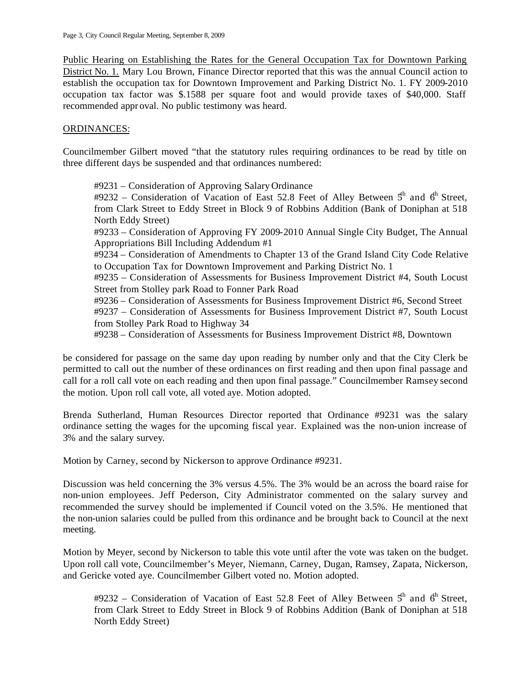Public Hearing on Establishing the Rates for the General Occupation Tax for Downtown Parking District No. 1. Mary Lou Brown, Finance Director reported that this was the annual Council action to establish the occupation tax for Downtown Improvement and Parking District No. 1. FY 2009-2010 occupation tax factor was \$.1588 per square foot and would provide taxes of \$40,000. Staff recommended appr oval. No public testimony was heard.

# ORDINANCES:

Councilmember Gilbert moved "that the statutory rules requiring ordinances to be read by title on three different days be suspended and that ordinances numbered:

#9231 – Consideration of Approving Salary Ordinance #9232 – Consideration of Vacation of East 52.8 Feet of Alley Between  $5<sup>h</sup>$  and  $6<sup>h</sup>$  Street, from Clark Street to Eddy Street in Block 9 of Robbins Addition (Bank of Doniphan at 518 North Eddy Street) #9233 – Consideration of Approving FY 2009-2010 Annual Single City Budget, The Annual Appropriations Bill Including Addendum #1 #9234 – Consideration of Amendments to Chapter 13 of the Grand Island City Code Relative to Occupation Tax for Downtown Improvement and Parking District No. 1 #9235 – Consideration of Assessments for Business Improvement District #4, South Locust Street from Stolley park Road to Fonner Park Road #9236 – Consideration of Assessments for Business Improvement District #6, Second Street #9237 – Consideration of Assessments for Business Improvement District #7, South Locust from Stolley Park Road to Highway 34 #9238 – Consideration of Assessments for Business Improvement District #8, Downtown

be considered for passage on the same day upon reading by number only and that the City Clerk be permitted to call out the number of these ordinances on first reading and then upon final passage and call for a roll call vote on each reading and then upon final passage." Councilmember Ramsey second the motion. Upon roll call vote, all voted aye. Motion adopted.

Brenda Sutherland, Human Resources Director reported that Ordinance #9231 was the salary ordinance setting the wages for the upcoming fiscal year. Explained was the non-union increase of 3% and the salary survey.

Motion by Carney, second by Nickerson to approve Ordinance #9231.

Discussion was held concerning the 3% versus 4.5%. The 3% would be an across the board raise for non-union employees. Jeff Pederson, City Administrator commented on the salary survey and recommended the survey should be implemented if Council voted on the 3.5%. He mentioned that the non-union salaries could be pulled from this ordinance and be brought back to Council at the next meeting.

Motion by Meyer, second by Nickerson to table this vote until after the vote was taken on the budget. Upon roll call vote, Councilmember's Meyer, Niemann, Carney, Dugan, Ramsey, Zapata, Nickerson, and Gericke voted aye. Councilmember Gilbert voted no. Motion adopted.

#9232 – Consideration of Vacation of East 52.8 Feet of Alley Between  $5<sup>th</sup>$  and  $6<sup>th</sup>$  Street, from Clark Street to Eddy Street in Block 9 of Robbins Addition (Bank of Doniphan at 518 North Eddy Street)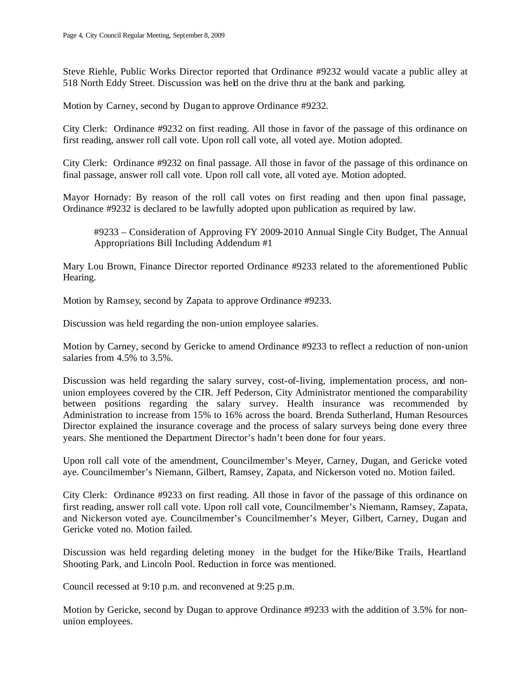Steve Riehle, Public Works Director reported that Ordinance #9232 would vacate a public alley at 518 North Eddy Street. Discussion was held on the drive thru at the bank and parking.

Motion by Carney, second by Dugan to approve Ordinance #9232.

City Clerk: Ordinance #9232 on first reading. All those in favor of the passage of this ordinance on first reading, answer roll call vote. Upon roll call vote, all voted aye. Motion adopted.

City Clerk: Ordinance #9232 on final passage. All those in favor of the passage of this ordinance on final passage, answer roll call vote. Upon roll call vote, all voted aye. Motion adopted.

Mayor Hornady: By reason of the roll call votes on first reading and then upon final passage, Ordinance #9232 is declared to be lawfully adopted upon publication as required by law.

#9233 – Consideration of Approving FY 2009-2010 Annual Single City Budget, The Annual Appropriations Bill Including Addendum #1

Mary Lou Brown, Finance Director reported Ordinance #9233 related to the aforementioned Public Hearing.

Motion by Ramsey, second by Zapata to approve Ordinance #9233.

Discussion was held regarding the non-union employee salaries.

Motion by Carney, second by Gericke to amend Ordinance #9233 to reflect a reduction of non-union salaries from 4.5% to 3.5%.

Discussion was held regarding the salary survey, cost-of-living, implementation process, and nonunion employees covered by the CIR. Jeff Pederson, City Administrator mentioned the comparability between positions regarding the salary survey. Health insurance was recommended by Administration to increase from 15% to 16% across the board. Brenda Sutherland, Human Resources Director explained the insurance coverage and the process of salary surveys being done every three years. She mentioned the Department Director's hadn't been done for four years.

Upon roll call vote of the amendment, Councilmember's Meyer, Carney, Dugan, and Gericke voted aye. Councilmember's Niemann, Gilbert, Ramsey, Zapata, and Nickerson voted no. Motion failed.

City Clerk: Ordinance #9233 on first reading. All those in favor of the passage of this ordinance on first reading, answer roll call vote. Upon roll call vote, Councilmember's Niemann, Ramsey, Zapata, and Nickerson voted aye. Councilmember's Councilmember's Meyer, Gilbert, Carney, Dugan and Gericke voted no. Motion failed.

Discussion was held regarding deleting money in the budget for the Hike/Bike Trails, Heartland Shooting Park, and Lincoln Pool. Reduction in force was mentioned.

Council recessed at 9:10 p.m. and reconvened at 9:25 p.m.

Motion by Gericke, second by Dugan to approve Ordinance #9233 with the addition of 3.5% for nonunion employees.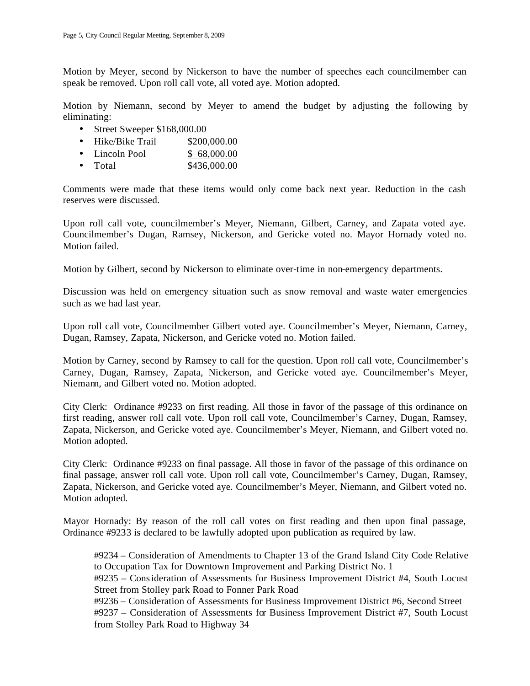Motion by Meyer, second by Nickerson to have the number of speeches each councilmember can speak be removed. Upon roll call vote, all voted aye. Motion adopted.

Motion by Niemann, second by Meyer to amend the budget by adjusting the following by eliminating:

- Street Sweeper \$168,000.00
- Hike/Bike Trail \$200,000.00
- Lincoln Pool \$ 68,000.00
- Total \$436,000.00

Comments were made that these items would only come back next year. Reduction in the cash reserves were discussed.

Upon roll call vote, councilmember's Meyer, Niemann, Gilbert, Carney, and Zapata voted aye. Councilmember's Dugan, Ramsey, Nickerson, and Gericke voted no. Mayor Hornady voted no. Motion failed.

Motion by Gilbert, second by Nickerson to eliminate over-time in non-emergency departments.

Discussion was held on emergency situation such as snow removal and waste water emergencies such as we had last year.

Upon roll call vote, Councilmember Gilbert voted aye. Councilmember's Meyer, Niemann, Carney, Dugan, Ramsey, Zapata, Nickerson, and Gericke voted no. Motion failed.

Motion by Carney, second by Ramsey to call for the question. Upon roll call vote, Councilmember's Carney, Dugan, Ramsey, Zapata, Nickerson, and Gericke voted aye. Councilmember's Meyer, Niemann, and Gilbert voted no. Motion adopted.

City Clerk: Ordinance #9233 on first reading. All those in favor of the passage of this ordinance on first reading, answer roll call vote. Upon roll call vote, Councilmember's Carney, Dugan, Ramsey, Zapata, Nickerson, and Gericke voted aye. Councilmember's Meyer, Niemann, and Gilbert voted no. Motion adopted.

City Clerk: Ordinance #9233 on final passage. All those in favor of the passage of this ordinance on final passage, answer roll call vote. Upon roll call vote, Councilmember's Carney, Dugan, Ramsey, Zapata, Nickerson, and Gericke voted aye. Councilmember's Meyer, Niemann, and Gilbert voted no. Motion adopted.

Mayor Hornady: By reason of the roll call votes on first reading and then upon final passage, Ordinance #9233 is declared to be lawfully adopted upon publication as required by law.

#9234 – Consideration of Amendments to Chapter 13 of the Grand Island City Code Relative to Occupation Tax for Downtown Improvement and Parking District No. 1

#9235 – Consideration of Assessments for Business Improvement District #4, South Locust Street from Stolley park Road to Fonner Park Road

#9236 – Consideration of Assessments for Business Improvement District #6, Second Street #9237 – Consideration of Assessments for Business Improvement District #7, South Locust from Stolley Park Road to Highway 34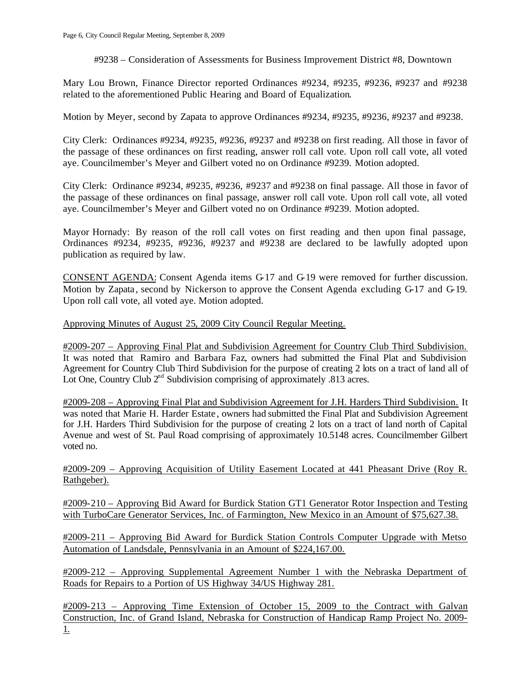#9238 – Consideration of Assessments for Business Improvement District #8, Downtown

Mary Lou Brown, Finance Director reported Ordinances #9234, #9235, #9236, #9237 and #9238 related to the aforementioned Public Hearing and Board of Equalization.

Motion by Meyer, second by Zapata to approve Ordinances #9234, #9235, #9236, #9237 and #9238.

City Clerk: Ordinances #9234, #9235, #9236, #9237 and #9238 on first reading. All those in favor of the passage of these ordinances on first reading, answer roll call vote. Upon roll call vote, all voted aye. Councilmember's Meyer and Gilbert voted no on Ordinance #9239. Motion adopted.

City Clerk: Ordinance #9234, #9235, #9236, #9237 and #9238 on final passage. All those in favor of the passage of these ordinances on final passage, answer roll call vote. Upon roll call vote, all voted aye. Councilmember's Meyer and Gilbert voted no on Ordinance #9239. Motion adopted.

Mayor Hornady: By reason of the roll call votes on first reading and then upon final passage, Ordinances #9234, #9235, #9236, #9237 and #9238 are declared to be lawfully adopted upon publication as required by law.

CONSENT AGENDA: Consent Agenda items G-17 and G-19 were removed for further discussion. Motion by Zapata , second by Nickerson to approve the Consent Agenda excluding G-17 and G-19. Upon roll call vote, all voted aye. Motion adopted.

Approving Minutes of August 25, 2009 City Council Regular Meeting.

#2009-207 – Approving Final Plat and Subdivision Agreement for Country Club Third Subdivision. It was noted that Ramiro and Barbara Faz, owners had submitted the Final Plat and Subdivision Agreement for Country Club Third Subdivision for the purpose of creating 2 lots on a tract of land all of Lot One, Country Club  $2<sup>nd</sup>$  Subdivision comprising of approximately .813 acres.

#2009-208 – Approving Final Plat and Subdivision Agreement for J.H. Harders Third Subdivision. It was noted that Marie H. Harder Estate , owners had submitted the Final Plat and Subdivision Agreement for J.H. Harders Third Subdivision for the purpose of creating 2 lots on a tract of land north of Capital Avenue and west of St. Paul Road comprising of approximately 10.5148 acres. Councilmember Gilbert voted no.

#2009-209 – Approving Acquisition of Utility Easement Located at 441 Pheasant Drive (Roy R. Rathgeber).

#2009-210 – Approving Bid Award for Burdick Station GT1 Generator Rotor Inspection and Testing with TurboCare Generator Services, Inc. of Farmington, New Mexico in an Amount of \$75,627.38.

#2009-211 – Approving Bid Award for Burdick Station Controls Computer Upgrade with Metso Automation of Landsdale, Pennsylvania in an Amount of \$224,167.00.

#2009-212 – Approving Supplemental Agreement Number 1 with the Nebraska Department of Roads for Repairs to a Portion of US Highway 34/US Highway 281.

#2009-213 – Approving Time Extension of October 15, 2009 to the Contract with Galvan Construction, Inc. of Grand Island, Nebraska for Construction of Handicap Ramp Project No. 2009- 1.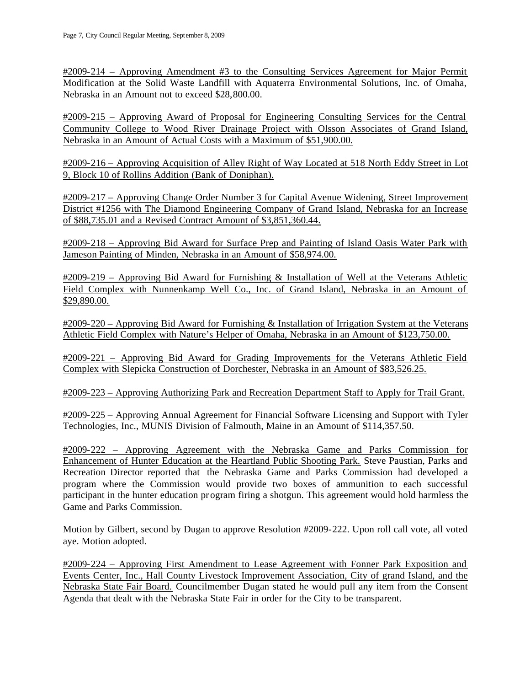#2009-214 – Approving Amendment #3 to the Consulting Services Agreement for Major Permit Modification at the Solid Waste Landfill with Aquaterra Environmental Solutions, Inc. of Omaha, Nebraska in an Amount not to exceed \$28,800.00.

#2009-215 – Approving Award of Proposal for Engineering Consulting Services for the Central Community College to Wood River Drainage Project with Olsson Associates of Grand Island, Nebraska in an Amount of Actual Costs with a Maximum of \$51,900.00.

#2009-216 – Approving Acquisition of Alley Right of Way Located at 518 North Eddy Street in Lot 9, Block 10 of Rollins Addition (Bank of Doniphan).

#2009-217 – Approving Change Order Number 3 for Capital Avenue Widening, Street Improvement District #1256 with The Diamond Engineering Company of Grand Island, Nebraska for an Increase of \$88,735.01 and a Revised Contract Amount of \$3,851,360.44.

#2009-218 – Approving Bid Award for Surface Prep and Painting of Island Oasis Water Park with Jameson Painting of Minden, Nebraska in an Amount of \$58,974.00.

#2009-219 – Approving Bid Award for Furnishing & Installation of Well at the Veterans Athletic Field Complex with Nunnenkamp Well Co., Inc. of Grand Island, Nebraska in an Amount of \$29,890.00.

#2009-220 – Approving Bid Award for Furnishing & Installation of Irrigation System at the Veterans Athletic Field Complex with Nature's Helper of Omaha, Nebraska in an Amount of \$123,750.00.

#2009-221 – Approving Bid Award for Grading Improvements for the Veterans Athletic Field Complex with Slepicka Construction of Dorchester, Nebraska in an Amount of \$83,526.25.

#2009-223 – Approving Authorizing Park and Recreation Department Staff to Apply for Trail Grant.

#2009-225 – Approving Annual Agreement for Financial Software Licensing and Support with Tyler Technologies, Inc., MUNIS Division of Falmouth, Maine in an Amount of \$114,357.50.

#2009-222 – Approving Agreement with the Nebraska Game and Parks Commission for Enhancement of Hunter Education at the Heartland Public Shooting Park. Steve Paustian, Parks and Recreation Director reported that the Nebraska Game and Parks Commission had developed a program where the Commission would provide two boxes of ammunition to each successful participant in the hunter education pr ogram firing a shotgun. This agreement would hold harmless the Game and Parks Commission.

Motion by Gilbert, second by Dugan to approve Resolution #2009-222. Upon roll call vote, all voted aye. Motion adopted.

#2009-224 – Approving First Amendment to Lease Agreement with Fonner Park Exposition and Events Center, Inc., Hall County Livestock Improvement Association, City of grand Island, and the Nebraska State Fair Board. Councilmember Dugan stated he would pull any item from the Consent Agenda that dealt with the Nebraska State Fair in order for the City to be transparent.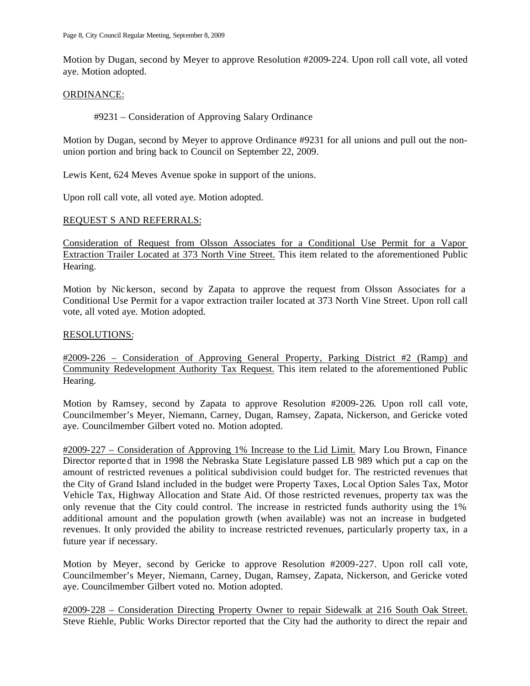Motion by Dugan, second by Meyer to approve Resolution #2009-224. Upon roll call vote, all voted aye. Motion adopted.

#### ORDINANCE:

### #9231 – Consideration of Approving Salary Ordinance

Motion by Dugan, second by Meyer to approve Ordinance #9231 for all unions and pull out the nonunion portion and bring back to Council on September 22, 2009.

Lewis Kent, 624 Meves Avenue spoke in support of the unions.

Upon roll call vote, all voted aye. Motion adopted.

#### REQUEST S AND REFERRALS:

Consideration of Request from Olsson Associates for a Conditional Use Permit for a Vapor Extraction Trailer Located at 373 North Vine Street. This item related to the aforementioned Public Hearing.

Motion by Nic kerson, second by Zapata to approve the request from Olsson Associates for a Conditional Use Permit for a vapor extraction trailer located at 373 North Vine Street. Upon roll call vote, all voted aye. Motion adopted.

#### RESOLUTIONS:

#2009-226 – Consideration of Approving General Property, Parking District #2 (Ramp) and Community Redevelopment Authority Tax Request. This item related to the aforementioned Public Hearing.

Motion by Ramsey, second by Zapata to approve Resolution #2009-226. Upon roll call vote, Councilmember's Meyer, Niemann, Carney, Dugan, Ramsey, Zapata, Nickerson, and Gericke voted aye. Councilmember Gilbert voted no. Motion adopted.

#2009-227 – Consideration of Approving 1% Increase to the Lid Limit. Mary Lou Brown, Finance Director reporte d that in 1998 the Nebraska State Legislature passed LB 989 which put a cap on the amount of restricted revenues a political subdivision could budget for. The restricted revenues that the City of Grand Island included in the budget were Property Taxes, Local Option Sales Tax, Motor Vehicle Tax, Highway Allocation and State Aid. Of those restricted revenues, property tax was the only revenue that the City could control. The increase in restricted funds authority using the 1% additional amount and the population growth (when available) was not an increase in budgeted revenues. It only provided the ability to increase restricted revenues, particularly property tax, in a future year if necessary.

Motion by Meyer, second by Gericke to approve Resolution #2009-227. Upon roll call vote, Councilmember's Meyer, Niemann, Carney, Dugan, Ramsey, Zapata, Nickerson, and Gericke voted aye. Councilmember Gilbert voted no. Motion adopted.

#2009-228 – Consideration Directing Property Owner to repair Sidewalk at 216 South Oak Street. Steve Riehle, Public Works Director reported that the City had the authority to direct the repair and